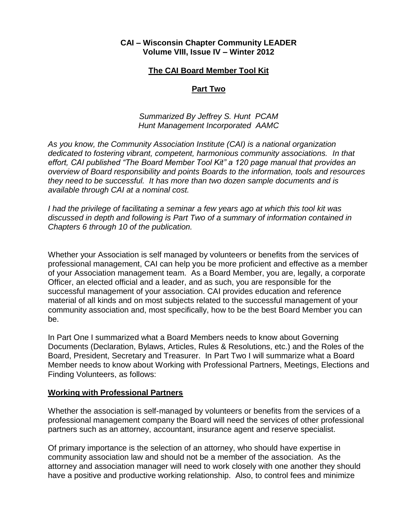## **CAI – Wisconsin Chapter Community LEADER Volume VIII, Issue IV – Winter 2012**

### **The CAI Board Member Tool Kit**

### **Part Two**

### *Summarized By Jeffrey S. Hunt PCAM Hunt Management Incorporated AAMC*

*As you know, the Community Association Institute (CAI) is a national organization dedicated to fostering vibrant, competent, harmonious community associations. In that effort, CAI published "The Board Member Tool Kit" a 120 page manual that provides an overview of Board responsibility and points Boards to the information, tools and resources they need to be successful. It has more than two dozen sample documents and is available through CAI at a nominal cost.*

*I had the privilege of facilitating a seminar a few years ago at which this tool kit was discussed in depth and following is Part Two of a summary of information contained in Chapters 6 through 10 of the publication.*

Whether your Association is self managed by volunteers or benefits from the services of professional management, CAI can help you be more proficient and effective as a member of your Association management team. As a Board Member, you are, legally, a corporate Officer, an elected official and a leader, and as such, you are responsible for the successful management of your association. CAI provides education and reference material of all kinds and on most subjects related to the successful management of your community association and, most specifically, how to be the best Board Member you can be.

In Part One I summarized what a Board Members needs to know about Governing Documents (Declaration, Bylaws, Articles, Rules & Resolutions, etc.) and the Roles of the Board, President, Secretary and Treasurer. In Part Two I will summarize what a Board Member needs to know about Working with Professional Partners, Meetings, Elections and Finding Volunteers, as follows:

#### **Working with Professional Partners**

Whether the association is self-managed by volunteers or benefits from the services of a professional management company the Board will need the services of other professional partners such as an attorney, accountant, insurance agent and reserve specialist.

Of primary importance is the selection of an attorney, who should have expertise in community association law and should not be a member of the association. As the attorney and association manager will need to work closely with one another they should have a positive and productive working relationship. Also, to control fees and minimize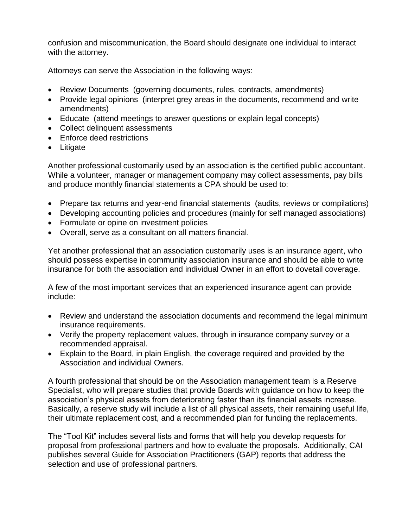confusion and miscommunication, the Board should designate one individual to interact with the attorney.

Attorneys can serve the Association in the following ways:

- Review Documents (governing documents, rules, contracts, amendments)
- Provide legal opinions (interpret grey areas in the documents, recommend and write amendments)
- Educate (attend meetings to answer questions or explain legal concepts)
- Collect delinquent assessments
- Enforce deed restrictions
- Litigate

Another professional customarily used by an association is the certified public accountant. While a volunteer, manager or management company may collect assessments, pay bills and produce monthly financial statements a CPA should be used to:

- Prepare tax returns and year-end financial statements (audits, reviews or compilations)
- Developing accounting policies and procedures (mainly for self managed associations)
- Formulate or opine on investment policies
- Overall, serve as a consultant on all matters financial.

Yet another professional that an association customarily uses is an insurance agent, who should possess expertise in community association insurance and should be able to write insurance for both the association and individual Owner in an effort to dovetail coverage.

A few of the most important services that an experienced insurance agent can provide include:

- Review and understand the association documents and recommend the legal minimum insurance requirements.
- Verify the property replacement values, through in insurance company survey or a recommended appraisal.
- Explain to the Board, in plain English, the coverage required and provided by the Association and individual Owners.

A fourth professional that should be on the Association management team is a Reserve Specialist, who will prepare studies that provide Boards with guidance on how to keep the association's physical assets from deteriorating faster than its financial assets increase. Basically, a reserve study will include a list of all physical assets, their remaining useful life, their ultimate replacement cost, and a recommended plan for funding the replacements.

The "Tool Kit" includes several lists and forms that will help you develop requests for proposal from professional partners and how to evaluate the proposals. Additionally, CAI publishes several Guide for Association Practitioners (GAP) reports that address the selection and use of professional partners.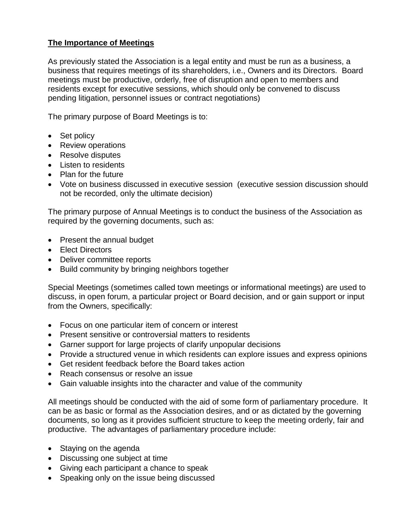# **The Importance of Meetings**

As previously stated the Association is a legal entity and must be run as a business, a business that requires meetings of its shareholders, i.e., Owners and its Directors. Board meetings must be productive, orderly, free of disruption and open to members and residents except for executive sessions, which should only be convened to discuss pending litigation, personnel issues or contract negotiations)

The primary purpose of Board Meetings is to:

- Set policy
- Review operations
- Resolve disputes
- Listen to residents
- Plan for the future
- Vote on business discussed in executive session (executive session discussion should not be recorded, only the ultimate decision)

The primary purpose of Annual Meetings is to conduct the business of the Association as required by the governing documents, such as:

- Present the annual budget
- Elect Directors
- Deliver committee reports
- Build community by bringing neighbors together

Special Meetings (sometimes called town meetings or informational meetings) are used to discuss, in open forum, a particular project or Board decision, and or gain support or input from the Owners, specifically:

- Focus on one particular item of concern or interest
- Present sensitive or controversial matters to residents
- Garner support for large projects of clarify unpopular decisions
- Provide a structured venue in which residents can explore issues and express opinions
- Get resident feedback before the Board takes action
- Reach consensus or resolve an issue
- Gain valuable insights into the character and value of the community

All meetings should be conducted with the aid of some form of parliamentary procedure. It can be as basic or formal as the Association desires, and or as dictated by the governing documents, so long as it provides sufficient structure to keep the meeting orderly, fair and productive. The advantages of parliamentary procedure include:

- Staying on the agenda
- Discussing one subject at time
- Giving each participant a chance to speak
- Speaking only on the issue being discussed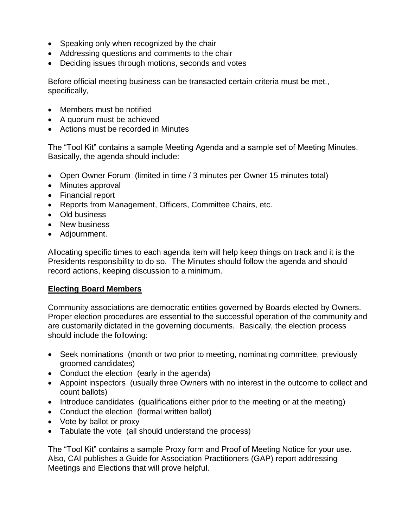- Speaking only when recognized by the chair
- Addressing questions and comments to the chair
- Deciding issues through motions, seconds and votes

Before official meeting business can be transacted certain criteria must be met., specifically,

- Members must be notified
- A quorum must be achieved
- Actions must be recorded in Minutes

The "Tool Kit" contains a sample Meeting Agenda and a sample set of Meeting Minutes. Basically, the agenda should include:

- Open Owner Forum (limited in time / 3 minutes per Owner 15 minutes total)
- Minutes approval
- Financial report
- Reports from Management, Officers, Committee Chairs, etc.
- Old business
- New business
- Adjournment.

Allocating specific times to each agenda item will help keep things on track and it is the Presidents responsibility to do so. The Minutes should follow the agenda and should record actions, keeping discussion to a minimum.

### **Electing Board Members**

Community associations are democratic entities governed by Boards elected by Owners. Proper election procedures are essential to the successful operation of the community and are customarily dictated in the governing documents. Basically, the election process should include the following:

- Seek nominations (month or two prior to meeting, nominating committee, previously groomed candidates)
- Conduct the election (early in the agenda)
- Appoint inspectors (usually three Owners with no interest in the outcome to collect and count ballots)
- Introduce candidates (qualifications either prior to the meeting or at the meeting)
- Conduct the election (formal written ballot)
- Vote by ballot or proxy
- Tabulate the vote (all should understand the process)

The "Tool Kit" contains a sample Proxy form and Proof of Meeting Notice for your use. Also, CAI publishes a Guide for Association Practitioners (GAP) report addressing Meetings and Elections that will prove helpful.